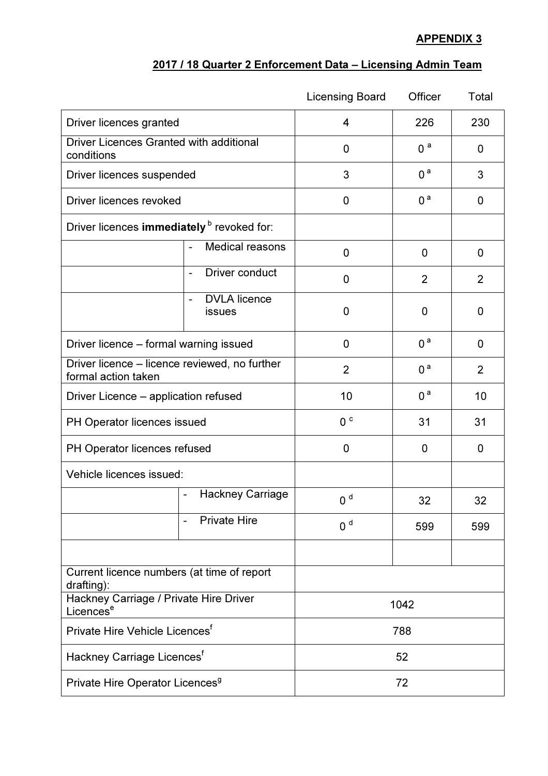## APPENDIX 3

## 2017 / 18 Quarter 2 Enforcement Data – Licensing Admin Team

|                                                                      |                                                        | <b>Licensing Board</b> | Officer        | Total |
|----------------------------------------------------------------------|--------------------------------------------------------|------------------------|----------------|-------|
| Driver licences granted                                              |                                                        | 4                      | 226            | 230   |
| Driver Licences Granted with additional<br>conditions                |                                                        | 0                      | 0 <sup>a</sup> | 0     |
| Driver licences suspended                                            |                                                        | 3                      | 0 <sup>a</sup> | 3     |
| Driver licences revoked                                              |                                                        | 0                      | 0 <sup>a</sup> | 0     |
| Driver licences immediately b revoked for:                           |                                                        |                        |                |       |
|                                                                      | Medical reasons                                        | 0                      | 0              | 0     |
|                                                                      | Driver conduct<br>$\overline{\phantom{a}}$             | 0                      | 2              | 2     |
|                                                                      | <b>DVLA</b> licence<br>$\blacksquare$<br><b>issues</b> | 0                      | 0              | 0     |
| Driver licence - formal warning issued                               |                                                        | 0                      | 0 <sup>a</sup> | 0     |
| Driver licence – licence reviewed, no further<br>formal action taken |                                                        | $\overline{2}$         | 0 <sup>a</sup> | 2     |
| Driver Licence – application refused                                 |                                                        | 10                     | 0 <sup>a</sup> | 10    |
| PH Operator licences issued                                          |                                                        | 0 <sup>c</sup>         | 31             | 31    |
| PH Operator licences refused                                         |                                                        | 0                      | 0              | 0     |
| Vehicle licences issued:                                             |                                                        |                        |                |       |
|                                                                      | <b>Hackney Carriage</b><br>$\overline{\phantom{a}}$    | 0 <sup>d</sup>         | 32             | 32    |
|                                                                      | <b>Private Hire</b>                                    | 0 <sup>d</sup>         | 599            | 599   |
|                                                                      |                                                        |                        |                |       |
| Current licence numbers (at time of report<br>drafting):             |                                                        |                        |                |       |
| Hackney Carriage / Private Hire Driver<br>Licences <sup>e</sup>      |                                                        | 1042                   |                |       |
| Private Hire Vehicle Licences <sup>f</sup>                           |                                                        | 788                    |                |       |
| Hackney Carriage Licences <sup>f</sup>                               |                                                        | 52                     |                |       |
| Private Hire Operator Licences <sup>9</sup>                          |                                                        | 72                     |                |       |